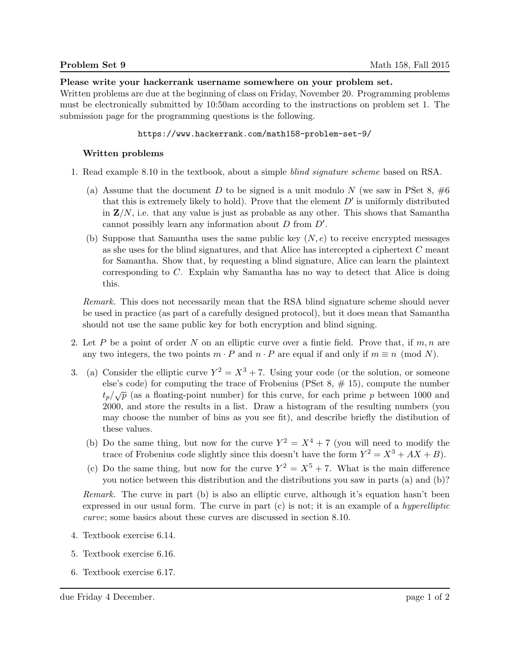Please write your hackerrank username somewhere on your problem set.

Written problems are due at the beginning of class on Friday, November 20. Programming problems must be electronically submitted by 10:50am according to the instructions on problem set 1. The submission page for the programming questions is the following.

## https://www.hackerrank.com/math158-problem-set-9/

## Written problems

- 1. Read example 8.10 in the textbook, about a simple blind signature scheme based on RSA.
	- (a) Assume that the document D to be signed is a unit modulo N (we saw in PSet 8,  $\#6$ that this is extremely likely to hold). Prove that the element  $D'$  is uniformly distributed in  $\mathbf{Z}/N$ , i.e. that any value is just as probable as any other. This shows that Samantha cannot possibly learn any information about  $D$  from  $D'$ .
	- (b) Suppose that Samantha uses the same public key  $(N, e)$  to receive encrypted messages as she uses for the blind signatures, and that Alice has intercepted a ciphertext C meant for Samantha. Show that, by requesting a blind signature, Alice can learn the plaintext corresponding to C. Explain why Samantha has no way to detect that Alice is doing this.

Remark. This does not necessarily mean that the RSA blind signature scheme should never be used in practice (as part of a carefully designed protocol), but it does mean that Samantha should not use the same public key for both encryption and blind signing.

- 2. Let P be a point of order N on an elliptic curve over a finite field. Prove that, if  $m, n$  are any two integers, the two points  $m \cdot P$  and  $n \cdot P$  are equal if and only if  $m \equiv n \pmod{N}$ .
- 3. (a) Consider the elliptic curve  $Y^2 = X^3 + 7$ . Using your code (or the solution, or someone else's code) for computing the trace of Frobenius (PSet  $8, \# 15$ ), compute the number  $t_p/\sqrt{p}$  (as a floating-point number) for this curve, for each prime p between 1000 and 2000, and store the results in a list. Draw a histogram of the resulting numbers (you may choose the number of bins as you see fit), and describe briefly the distibution of these values.
	- (b) Do the same thing, but now for the curve  $Y^2 = X^4 + 7$  (you will need to modify the trace of Frobenius code slightly since this doesn't have the form  $Y^2 = X^3 + AX + B$ .
	- (c) Do the same thing, but now for the curve  $Y^2 = X^5 + 7$ . What is the main difference you notice between this distribution and the distributions you saw in parts (a) and (b)?

Remark. The curve in part (b) is also an elliptic curve, although it's equation hasn't been expressed in our usual form. The curve in part  $(c)$  is not; it is an example of a *hyperelliptic* curve; some basics about these curves are discussed in section 8.10.

- 4. Textbook exercise 6.14.
- 5. Textbook exercise 6.16.
- 6. Textbook exercise 6.17.